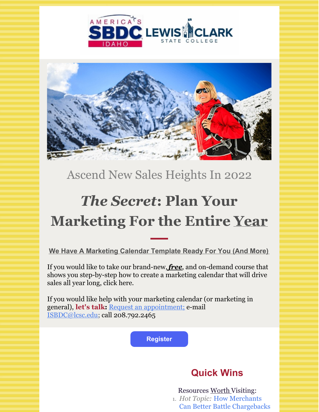



## Ascend New Sales Heights In 2022

# *The Secret***: Plan Your Marketing For the Entire Year**

**We Have A Marketing Calendar Template Ready For You (And More)**

If you would like to take our brand-new,*free*, and on-demand course that shows you step-by-step how to create a marketing calendar that will drive sales all year long, click here.

If you would like help with your marketing calendar (or marketing in general), **let's talk:** Request an [appointment;](https://idahosbdc.org/locations/north-central-idaho/) e-mail [ISBDC@lcsc.edu](mailto:isbdc@lcsc.edu); call 208.792.2465

**[Register](https://business.idahosbdc.org/reg.aspx?mode=event&event=30420002)**

### **Quick Wins**

Resources Worth Visiting: 1. *Hot Topic:* How Merchants Can Better Battle [Chargebacks](https://www.ecommercetimes.com/story/How-Merchants-Can-Better-Battle-Chargebacks-and-Fraud-87345.html)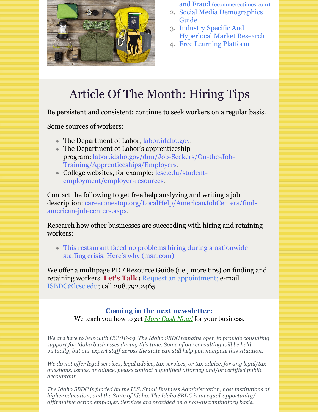

- and Fraud [\(ecommercetimes.com\)](https://www.ecommercetimes.com/story/How-Merchants-Can-Better-Battle-Chargebacks-and-Fraud-87345.html) 2. Social Media [Demographics](https://khoros.com/resources/social-media-demographics-guide)
- Guide
- 3. Industry Specific And [Hyperlocal](https://inwp.org/sizeup-inlandnw/) Market Research
- 4. Free [Learning](https://ascent.sba.gov/) Platform

## Article Of The Month: Hiring Tips

Be persistent and consistent: continue to seek workers on a regular basis.

Some sources of workers:

- The Department of Labor, [labor.idaho.gov](http://www.labor.idaho.gov).
- The Department of Labor's apprenticeship program: [labor.idaho.gov/dnn/Job-Seekers/On-the-Job-](http://www.labor.idaho.gov/dnn/Job-Seekers/On-the-Job-Training/Apprenticeships/Employers)Training/Apprenticeships/Employers.
- College websites, for example: lcsc.edu/student[employment/employer-resources.](http://www.lcsc.edu/student-employment/employer-resources)

Contact the following to get free help analyzing and writing a job description: [careeronestop.org/LocalHelp/AmericanJobCenters/find](http://www.careeronestop.org/LocalHelp/AmericanJobCenters/find-american-job-centers.aspx)american-job-centers.aspx.

Research how other businesses are succeeding with hiring and retaining workers:

This restaurant faced no problems hiring during a [nationwide](https://www.msn.com/en-us/money/careersandeducation/this-oakland-restaurant-faced-no-problems-hiring-during-a-nationwide-staffing-crisis-here-s-why/ar-AARb1Ab) staffing crisis. Here's why (msn.com)

We offer a multipage PDF Resource Guide (i.e., more tips) on finding and retaining workers. **Let's Talk :** Request an [appointment;](https://idahosbdc.org/locations/north-central-idaho/) e-mail [ISBDC@lcsc.edu](mailto:isbdc@lcsc.edu); call 208.792.2465

#### **Coming in the next newsletter:** We teach you how to get *More Cash Now!* for your business.

*We are here to help with COVID-19. The Idaho SBDC remains open to provide consulting support for Idaho businesses during this time. Some of our consulting will be held virtually, but our expert staf across the state can still help you navigate this situation.*

*We do not of er legal services, legal advice, tax services, or tax advice, for any legal/tax questions, issues, or advice, please contact a qualified attorney and/or certified public accountant.*

*The Idaho SBDC is funded by the U.S. Small Business Administration, host institutions of higher education, and the State of Idaho. The Idaho SBDC is an equal-opportunity/ af irmative action employer. Services are provided on a non-discriminatory basis.*